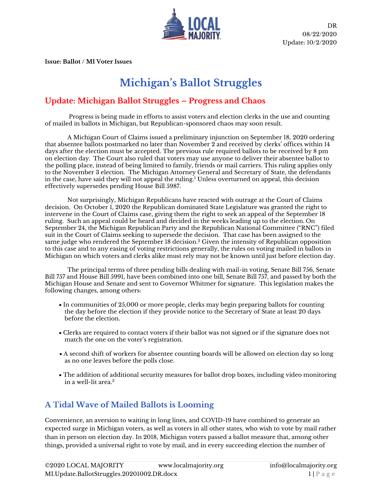

**Issue: Ballot / MI Voter Issues**

# **Michigan's Ballot Struggles**

#### **Update: Michigan Ballot Struggles – Progress and Chaos**

Progress is being made in efforts to assist voters and election clerks in the use and counting of mailed in ballots in Michigan, but Republican-sponsored chaos may soon result.

A Michigan Court of Claims issued a preliminary injunction on September 18, 2020 ordering that absentee ballots postmarked no later than November 2 and received by clerks' offices within 14 days after the election must be accepted. The previous rule required ballots to be received by 8 pm on election day. The Court also ruled that voters may use anyone to deliver their absentee ballot to the polling place, instead of being limited to family, friends or mail carriers. This ruling applies only to the November 3 election. The Michigan Attorney General and Secretary of State, the defendants in the case, have said they will not appeal the ruling.<sup>1</sup> Unless overturned on appeal, this decision effectively supersedes pending House Bill 5987.

Not surprisingly, Michigan Republicans have reacted with outrage at the Court of Claims decision. On October 1, 2020 the Republican dominated State Legislature was granted the right to intervene in the Court of Claims case, giving them the right to seek an appeal of the September 18 ruling. Such an appeal could be heard and decided in the weeks leading up to the election. On September 24, the Michigan Republican Party and the Republican National Committee ("RNC") filed suit in the Court of Claims seeking to supersede the decision. That case has been assigned to the same judge who rendered the September 18 decision.<sup>2</sup> Given the intensity of Republican opposition to this case and to any easing of voting restrictions generally, the rules on voting mailed in ballots in Michigan on which voters and clerks alike must rely may not be known until just before election day.

The principal terms of three pending bills dealing with mail-in voting, Senate Bill 756, Senate Bill 757 and House Bill 5991, have been combined into one bill, Senate Bill 757, and passed by both the Michigan House and Senate and sent to Governor Whitmer for signature. This legislation makes the following changes, among others:

- In communities of 25,000 or more people, clerks may begin preparing ballots for counting the day before the election if they provide notice to the Secretary of State at least 20 days before the election.
- Clerks are required to contact voters if their ballot was not signed or if the signature does not match the one on the voter's registration.
- A second shift of workers for absentee counting boards will be allowed on election day so long as no one leaves before the polls close.
- The addition of additional security measures for ballot drop boxes, including video monitoring in a well-lit area.<sup>3</sup>

### **A Tidal Wave of Mailed Ballots is Looming**

Convenience, an aversion to waiting in long lines, and COVID-19 have combined to generate an expected surge in Michigan voters, as well as voters in all other states, who wish to vote by mail rather than in person on election day. In 2018, Michigan voters passed a ballot measure that, among other things, provided a universal right to vote by mail, and in every succeeding election the number of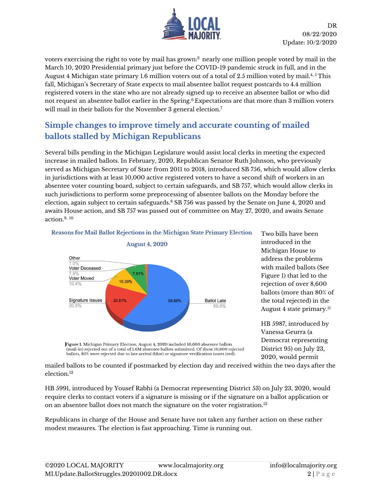

voters exercising the right to vote by mail has grown: <sup>3</sup> nearly one million people voted by mail in the March 10, 2020 Presidential primary just before the COVID-19 pandemic struck in full, and in the August 4 Michigan state primary 1.6 million voters out of a total of 2.5 million voted by mail.4, 5 This fall, Michigan's Secretary of State expects to mail absentee ballot request postcards to 4.4 million registered voters in the state who are not already signed up to receive an absentee ballot or who did not request an absentee ballot earlier in the Spring.<sup>6</sup> Expectations are that more than 3 million voters will mail in their ballots for the November 3 general election.<sup>7</sup>

## **Simple changes to improve timely and accurate counting of mailed ballots stalled by Michigan Republicans**

Several bills pending in the Michigan Legislature would assist local clerks in meeting the expected increase in mailed ballots. In February, 2020, Republican Senator Ruth Johnson, who previously served as Michigan Secretary of State from 2011 to 2018, introduced SB 756, which would allow clerks in jurisdictions with at least 10,000 active registered voters to have a second shift of workers in an absentee voter counting board, subject to certain safeguards, and SB 757, which would allow clerks in such jurisdictions to perform some preprocessing of absentee ballots on the Monday before the election, again subject to certain safeguards.<sup>8</sup> SB 756 was passed by the Senate on June 4, 2020 and awaits House action, and SB 757 was passed out of committee on May 27, 2020, and awaits Senate action.9, <sup>10</sup>



Reasons for Mail Ballot Rejections in the Michigan State Primary Election

Two bills have been introduced in the Michigan House to address the problems with mailed ballots (See Figure 1) that led to the rejection of over 8,600 ballots (more than 80% of the total rejected) in the August 4 state primary.<sup>11</sup>

HB 5987, introduced by Vanessa Geurra (a Democrat representing District 95) on July 23, 2020, would permit

Figure 1. Michigan Primary Election, August 4, 2020 included 10,600 absentee ballots (mail-in) rejected out of a total of 1.6M absentee ballots submitted. Of these 10,600 rejected ballots, 80% were rejected due to late arrival (blue) or signature verification issues (red).

mailed ballots to be counted if postmarked by election day and received within the two days after the election. 12

HB 5991, introduced by Yousef Rabhi (a Democrat representing District 53) on July 23, 2020, would require clerks to contact voters if a signature is missing or if the signature on a ballot application or on an absentee ballot does not match the signature on the voter registration.<sup>13</sup>

Republicans in charge of the House and Senate have not taken any further action on these rather modest measures. The election is fast approaching. Time is running out.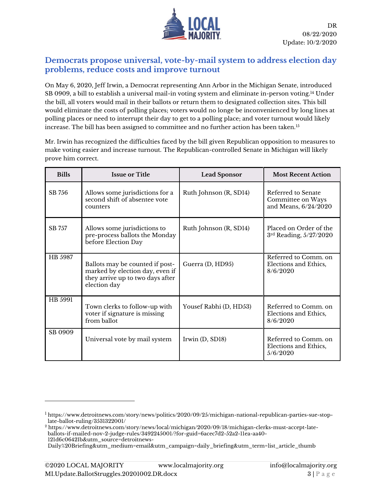

#### **Democrats propose universal, vote-by-mail system to address election day problems, reduce costs and improve turnout**

On May 6, 2020, Jeff Irwin, a Democrat representing Ann Arbor in the Michigan Senate, introduced SB 0909, a bill to establish a universal mail-in voting system and eliminate in-person voting.<sup>14</sup> Under the bill, all voters would mail in their ballots or return them to designated collection sites. This bill would eliminate the costs of polling places; voters would no longe be inconvenienced by long lines at polling places or need to interrupt their day to get to a polling place; and voter turnout would likely increase. The bill has been assigned to committee and no further action has been taken.<sup>15</sup>

Mr. Irwin has recognized the difficulties faced by the bill given Republican opposition to measures to make voting easier and increase turnout. The Republican-controlled Senate in Michigan will likely prove him correct.

| <b>Bills</b> | <b>Issue or Title</b>                                                                                                  | <b>Lead Sponsor</b>    | <b>Most Recent Action</b>                                       |
|--------------|------------------------------------------------------------------------------------------------------------------------|------------------------|-----------------------------------------------------------------|
| SB 756       | Allows some jurisdictions for a<br>second shift of absentee vote<br>counters                                           | Ruth Johnson (R, SD14) | Referred to Senate<br>Committee on Ways<br>and Means, 6/24/2020 |
| SB 757       | Allows some jurisdictions to<br>pre-process ballots the Monday<br>before Election Day                                  | Ruth Johnson (R, SD14) | Placed on Order of the<br>$3rd$ Reading, $5/27/2020$            |
| HB 5987      | Ballots may be counted if post-<br>marked by election day, even if<br>they arrive up to two days after<br>election day | Guerra (D, HD95)       | Referred to Comm. on<br>Elections and Ethics,<br>8/6/2020       |
| HB 5991      | Town clerks to follow-up with<br>voter if signature is missing<br>from ballot                                          | Yousef Rabhi (D, HD53) | Referred to Comm. on<br>Elections and Ethics,<br>8/6/2020       |
| SB 0909      | Universal vote by mail system                                                                                          | Irwin $(D, SD18)$      | Referred to Comm. on<br>Elections and Ethics,<br>5/6/2020       |

<sup>1</sup> [https://www.detroitnews.com/story/news/politics/2020/09/25/michigan-national-republican-parties-sue-stop](https://www.detroitnews.com/story/news/politics/2020/09/25/michigan-national-republican-parties-sue-stop-%20%20late-ballot-ruling/3531322001/)[late-ballot-ruling/3531322001/](https://www.detroitnews.com/story/news/politics/2020/09/25/michigan-national-republican-parties-sue-stop-%20%20late-ballot-ruling/3531322001/)

<sup>2</sup> [https://www.detroitnews.com/story/news/local/michigan/2020/09/18/michigan-clerks-must-accept-late](https://www.detroitnews.com/story/news/local/michigan/2020/09/18/michigan-clerks-must-accept-late-ballots-if-mailed-nov-2-judge-rules/3492245001/?for-guid=6acec7d2-52a2-11ea-aa40-121d6c06421b&utm_source=detroitnews-%20%20Daily%20Briefing&utm_medium=email&utm_campaign=daily_briefing&utm_term=list_article_thumb)[ballots-if-mailed-nov-2-judge-rules/3492245001/?for-guid=6acec7d2-52a2-11ea-aa40-](https://www.detroitnews.com/story/news/local/michigan/2020/09/18/michigan-clerks-must-accept-late-ballots-if-mailed-nov-2-judge-rules/3492245001/?for-guid=6acec7d2-52a2-11ea-aa40-121d6c06421b&utm_source=detroitnews-%20%20Daily%20Briefing&utm_medium=email&utm_campaign=daily_briefing&utm_term=list_article_thumb) [121d6c06421b&utm\\_source=detroitnews-](https://www.detroitnews.com/story/news/local/michigan/2020/09/18/michigan-clerks-must-accept-late-ballots-if-mailed-nov-2-judge-rules/3492245001/?for-guid=6acec7d2-52a2-11ea-aa40-121d6c06421b&utm_source=detroitnews-%20%20Daily%20Briefing&utm_medium=email&utm_campaign=daily_briefing&utm_term=list_article_thumb)

[Daily%20Briefing&utm\\_medium=email&utm\\_campaign=daily\\_briefing&utm\\_term=list\\_article\\_thumb](https://www.detroitnews.com/story/news/local/michigan/2020/09/18/michigan-clerks-must-accept-late-ballots-if-mailed-nov-2-judge-rules/3492245001/?for-guid=6acec7d2-52a2-11ea-aa40-121d6c06421b&utm_source=detroitnews-%20%20Daily%20Briefing&utm_medium=email&utm_campaign=daily_briefing&utm_term=list_article_thumb)